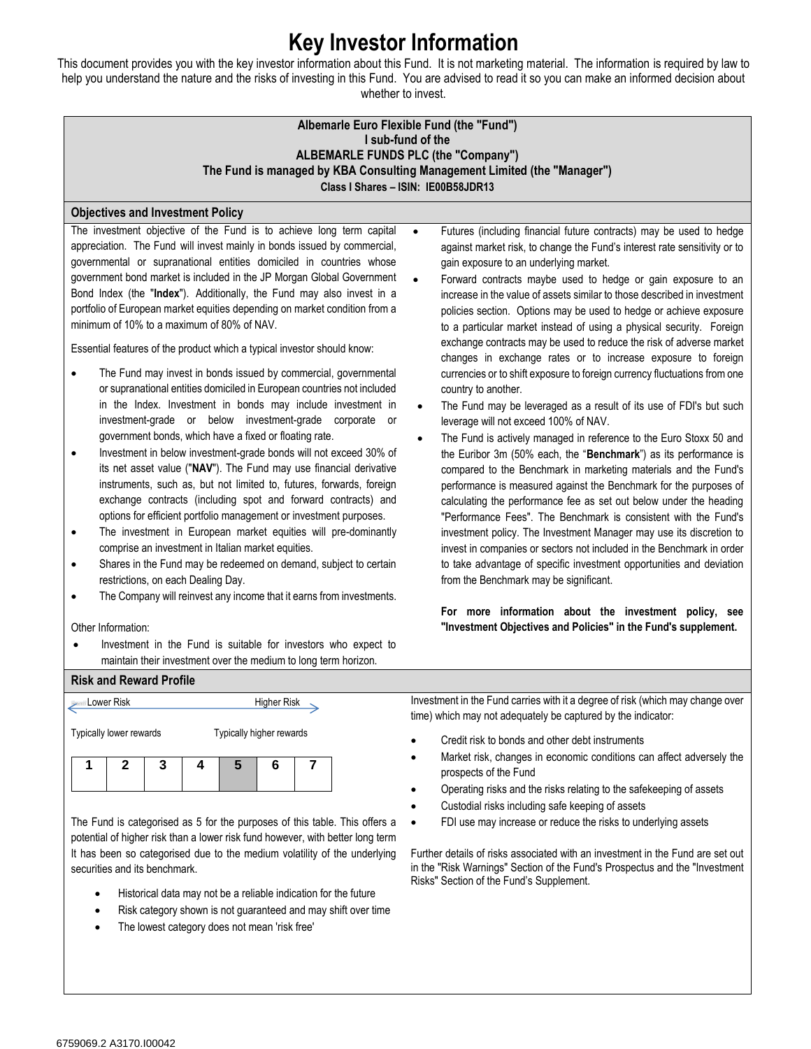## **Key Investor Information**

This document provides you with the key investor information about this Fund. It is not marketing material. The information is required by law to help you understand the nature and the risks of investing in this Fund. You are advised to read it so you can make an informed decision about whether to invest.

| Albemarle Euro Flexible Fund (the "Fund")<br>I sub-fund of the<br>ALBEMARLE FUNDS PLC (the "Company")<br>The Fund is managed by KBA Consulting Management Limited (the "Manager")<br>Class I Shares - ISIN: IE00B58JDR13                                                                                                                                                                                                                                                                                                                                                                                                                                                                                                                                                                                                                                                                                                                                                                                                                                                                                                                                                                                                                                                                                                                                                                                                                                                                                                                                                                                                                                                                                                                                                                             |                                                                                                                                                                                                                                                                                                                                                                                                                                                                                                                                                                                                                                                                                                                                                                                                                                                                                                                                                                                                                                                                                                                                                                                                                                                                                                                                                                                                                                                                                                                                                                                                                                                                                                  |  |  |  |
|------------------------------------------------------------------------------------------------------------------------------------------------------------------------------------------------------------------------------------------------------------------------------------------------------------------------------------------------------------------------------------------------------------------------------------------------------------------------------------------------------------------------------------------------------------------------------------------------------------------------------------------------------------------------------------------------------------------------------------------------------------------------------------------------------------------------------------------------------------------------------------------------------------------------------------------------------------------------------------------------------------------------------------------------------------------------------------------------------------------------------------------------------------------------------------------------------------------------------------------------------------------------------------------------------------------------------------------------------------------------------------------------------------------------------------------------------------------------------------------------------------------------------------------------------------------------------------------------------------------------------------------------------------------------------------------------------------------------------------------------------------------------------------------------------|--------------------------------------------------------------------------------------------------------------------------------------------------------------------------------------------------------------------------------------------------------------------------------------------------------------------------------------------------------------------------------------------------------------------------------------------------------------------------------------------------------------------------------------------------------------------------------------------------------------------------------------------------------------------------------------------------------------------------------------------------------------------------------------------------------------------------------------------------------------------------------------------------------------------------------------------------------------------------------------------------------------------------------------------------------------------------------------------------------------------------------------------------------------------------------------------------------------------------------------------------------------------------------------------------------------------------------------------------------------------------------------------------------------------------------------------------------------------------------------------------------------------------------------------------------------------------------------------------------------------------------------------------------------------------------------------------|--|--|--|
| <b>Objectives and Investment Policy</b>                                                                                                                                                                                                                                                                                                                                                                                                                                                                                                                                                                                                                                                                                                                                                                                                                                                                                                                                                                                                                                                                                                                                                                                                                                                                                                                                                                                                                                                                                                                                                                                                                                                                                                                                                              |                                                                                                                                                                                                                                                                                                                                                                                                                                                                                                                                                                                                                                                                                                                                                                                                                                                                                                                                                                                                                                                                                                                                                                                                                                                                                                                                                                                                                                                                                                                                                                                                                                                                                                  |  |  |  |
| The investment objective of the Fund is to achieve long term capital<br>appreciation. The Fund will invest mainly in bonds issued by commercial,<br>governmental or supranational entities domiciled in countries whose<br>government bond market is included in the JP Morgan Global Government<br>Bond Index (the "Index"). Additionally, the Fund may also invest in a<br>portfolio of European market equities depending on market condition from a<br>minimum of 10% to a maximum of 80% of NAV.<br>Essential features of the product which a typical investor should know:<br>The Fund may invest in bonds issued by commercial, governmental<br>or supranational entities domiciled in European countries not included<br>in the Index. Investment in bonds may include investment in<br>investment-grade or below investment-grade corporate or<br>government bonds, which have a fixed or floating rate.<br>Investment in below investment-grade bonds will not exceed 30% of<br>$\bullet$<br>its net asset value ("NAV"). The Fund may use financial derivative<br>instruments, such as, but not limited to, futures, forwards, foreign<br>exchange contracts (including spot and forward contracts) and<br>options for efficient portfolio management or investment purposes.<br>The investment in European market equities will pre-dominantly<br>$\bullet$<br>comprise an investment in Italian market equities.<br>Shares in the Fund may be redeemed on demand, subject to certain<br>$\bullet$<br>restrictions, on each Dealing Day.<br>The Company will reinvest any income that it earns from investments.<br>$\bullet$<br>Other Information:<br>Investment in the Fund is suitable for investors who expect to<br>maintain their investment over the medium to long term horizon. | Futures (including financial future contracts) may be used to hedge<br>$\bullet$<br>against market risk, to change the Fund's interest rate sensitivity or to<br>gain exposure to an underlying market.<br>Forward contracts maybe used to hedge or gain exposure to an<br>$\bullet$<br>increase in the value of assets similar to those described in investment<br>policies section. Options may be used to hedge or achieve exposure<br>to a particular market instead of using a physical security. Foreign<br>exchange contracts may be used to reduce the risk of adverse market<br>changes in exchange rates or to increase exposure to foreign<br>currencies or to shift exposure to foreign currency fluctuations from one<br>country to another.<br>The Fund may be leveraged as a result of its use of FDI's but such<br>leverage will not exceed 100% of NAV.<br>The Fund is actively managed in reference to the Euro Stoxx 50 and<br>the Euribor 3m (50% each, the "Benchmark") as its performance is<br>compared to the Benchmark in marketing materials and the Fund's<br>performance is measured against the Benchmark for the purposes of<br>calculating the performance fee as set out below under the heading<br>"Performance Fees". The Benchmark is consistent with the Fund's<br>investment policy. The Investment Manager may use its discretion to<br>invest in companies or sectors not included in the Benchmark in order<br>to take advantage of specific investment opportunities and deviation<br>from the Benchmark may be significant.<br>For more information about the investment policy, see<br>"Investment Objectives and Policies" in the Fund's supplement. |  |  |  |
| <b>Risk and Reward Profile</b>                                                                                                                                                                                                                                                                                                                                                                                                                                                                                                                                                                                                                                                                                                                                                                                                                                                                                                                                                                                                                                                                                                                                                                                                                                                                                                                                                                                                                                                                                                                                                                                                                                                                                                                                                                       |                                                                                                                                                                                                                                                                                                                                                                                                                                                                                                                                                                                                                                                                                                                                                                                                                                                                                                                                                                                                                                                                                                                                                                                                                                                                                                                                                                                                                                                                                                                                                                                                                                                                                                  |  |  |  |
| Higher Risk<br>Lower Risk                                                                                                                                                                                                                                                                                                                                                                                                                                                                                                                                                                                                                                                                                                                                                                                                                                                                                                                                                                                                                                                                                                                                                                                                                                                                                                                                                                                                                                                                                                                                                                                                                                                                                                                                                                            | Investment in the Fund carries with it a degree of risk (which may change over<br>time) which may not adequately be captured by the indicator:                                                                                                                                                                                                                                                                                                                                                                                                                                                                                                                                                                                                                                                                                                                                                                                                                                                                                                                                                                                                                                                                                                                                                                                                                                                                                                                                                                                                                                                                                                                                                   |  |  |  |
| Typically higher rewards<br><b>Typically lower rewards</b>                                                                                                                                                                                                                                                                                                                                                                                                                                                                                                                                                                                                                                                                                                                                                                                                                                                                                                                                                                                                                                                                                                                                                                                                                                                                                                                                                                                                                                                                                                                                                                                                                                                                                                                                           |                                                                                                                                                                                                                                                                                                                                                                                                                                                                                                                                                                                                                                                                                                                                                                                                                                                                                                                                                                                                                                                                                                                                                                                                                                                                                                                                                                                                                                                                                                                                                                                                                                                                                                  |  |  |  |

- Credit risk to bonds and other debt instruments
	- Market risk, changes in economic conditions can affect adversely the prospects of the Fund
	- Operating risks and the risks relating to the safekeeping of assets
	- Custodial risks including safe keeping of assets
	- FDI use may increase or reduce the risks to underlying assets

Further details of risks associated with an investment in the Fund are set out in the "Risk Warnings" Section of the Fund's Prospectus and the "Investment Risks" Section of the Fund's Supplement.

- The Fund is categorised as 5 for the purposes of this table. This offers a potential of higher risk than a lower risk fund however, with better long term It has been so categorised due to the medium volatility of the underlying securities and its benchmark.
	- Historical data may not be a reliable indication for the future
	- Risk category shown is not guaranteed and may shift over time
	- The lowest category does not mean 'risk free'

**1 2 3 4 5 6 7**